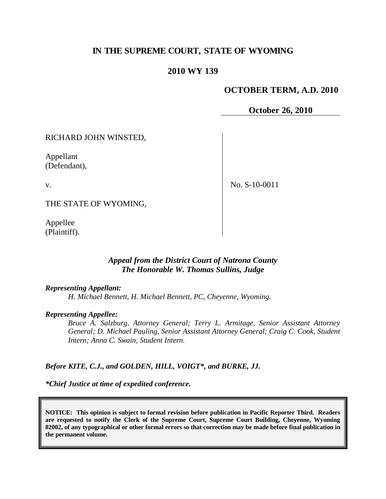# **IN THE SUPREME COURT, STATE OF WYOMING**

## **2010 WY 139**

### **OCTOBER TERM, A.D. 2010**

**October 26, 2010**

RICHARD JOHN WINSTED,

Appellant (Defendant),

v.

No. S-10-0011

THE STATE OF WYOMING,

Appellee (Plaintiff).

## *Appeal from the District Court of Natrona County The Honorable W. Thomas Sullins, Judge*

*Representing Appellant:*

*H. Michael Bennett, H. Michael Bennett, PC, Cheyenne, Wyoming.*

#### *Representing Appellee:*

*Bruce A. Salzburg, Attorney General; Terry L. Armitage, Senior Assistant Attorney General; D. Michael Pauling, Senior Assistant Attorney General; Craig C. Cook, Student Intern; Anna C. Swain, Student Intern.*

#### *Before KITE, C.J., and GOLDEN, HILL, VOIGT\*, and BURKE, JJ.*

*\*Chief Justice at time of expedited conference.*

**NOTICE: This opinion is subject to formal revision before publication in Pacific Reporter Third. Readers are requested to notify the Clerk of the Supreme Court, Supreme Court Building, Cheyenne, Wyoming 82002, of any typographical or other formal errors so that correction may be made before final publication in the permanent volume.**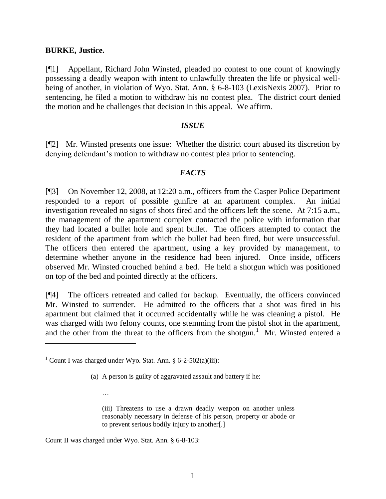#### **BURKE, Justice.**

 $\overline{a}$ 

[¶1] Appellant, Richard John Winsted, pleaded no contest to one count of knowingly possessing a deadly weapon with intent to unlawfully threaten the life or physical wellbeing of another, in violation of Wyo. Stat. Ann. § 6-8-103 (LexisNexis 2007). Prior to sentencing, he filed a motion to withdraw his no contest plea. The district court denied the motion and he challenges that decision in this appeal. We affirm.

## *ISSUE*

[¶2] Mr. Winsted presents one issue: Whether the district court abused its discretion by denying defendant's motion to withdraw no contest plea prior to sentencing.

## *FACTS*

[¶3] On November 12, 2008, at 12:20 a.m., officers from the Casper Police Department responded to a report of possible gunfire at an apartment complex. An initial investigation revealed no signs of shots fired and the officers left the scene. At 7:15 a.m., the management of the apartment complex contacted the police with information that they had located a bullet hole and spent bullet. The officers attempted to contact the resident of the apartment from which the bullet had been fired, but were unsuccessful. The officers then entered the apartment, using a key provided by management, to determine whether anyone in the residence had been injured. Once inside, officers observed Mr. Winsted crouched behind a bed. He held a shotgun which was positioned on top of the bed and pointed directly at the officers.

[¶4] The officers retreated and called for backup. Eventually, the officers convinced Mr. Winsted to surrender. He admitted to the officers that a shot was fired in his apartment but claimed that it occurred accidentally while he was cleaning a pistol. He was charged with two felony counts, one stemming from the pistol shot in the apartment, and the other from the threat to the officers from the shotgun.<sup>1</sup> Mr. Winsted entered a

(a) A person is guilty of aggravated assault and battery if he:

(iii) Threatens to use a drawn deadly weapon on another unless reasonably necessary in defense of his person, property or abode or to prevent serious bodily injury to another[.]

Count II was charged under Wyo. Stat. Ann. § 6-8-103:

…

<sup>&</sup>lt;sup>1</sup> Count I was charged under Wyo. Stat. Ann. § 6-2-502(a)(iii):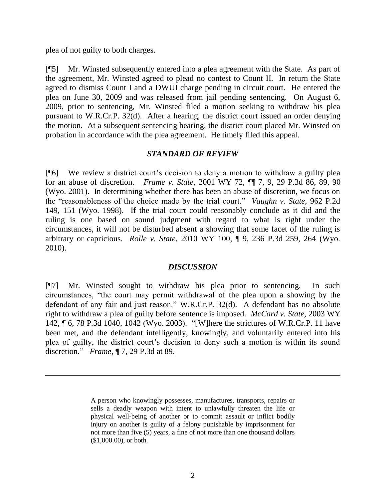plea of not guilty to both charges.

 $\overline{a}$ 

[¶5] Mr. Winsted subsequently entered into a plea agreement with the State. As part of the agreement, Mr. Winsted agreed to plead no contest to Count II. In return the State agreed to dismiss Count I and a DWUI charge pending in circuit court. He entered the plea on June 30, 2009 and was released from jail pending sentencing. On August 6, 2009, prior to sentencing, Mr. Winsted filed a motion seeking to withdraw his plea pursuant to W.R.Cr.P. 32(d). After a hearing, the district court issued an order denying the motion. At a subsequent sentencing hearing, the district court placed Mr. Winsted on probation in accordance with the plea agreement. He timely filed this appeal.

## *STANDARD OF REVIEW*

[¶6] We review a district court's decision to deny a motion to withdraw a guilty plea for an abuse of discretion. *Frame v. State*, 2001 WY 72, ¶¶ 7, 9, 29 P.3d 86, 89, 90 (Wyo. 2001). In determining whether there has been an abuse of discretion, we focus on the "reasonableness of the choice made by the trial court." *Vaughn v. State*, 962 P.2d 149, 151 (Wyo. 1998). If the trial court could reasonably conclude as it did and the ruling is one based on sound judgment with regard to what is right under the circumstances, it will not be disturbed absent a showing that some facet of the ruling is arbitrary or capricious. *Rolle v. State*, 2010 WY 100, ¶ 9, 236 P.3d 259, 264 (Wyo. 2010).

## *DISCUSSION*

[¶7] Mr. Winsted sought to withdraw his plea prior to sentencing. In such circumstances, "the court may permit withdrawal of the plea upon a showing by the defendant of any fair and just reason." W.R.Cr.P. 32(d). A defendant has no absolute right to withdraw a plea of guilty before sentence is imposed. *McCard v. State*, 2003 WY 142, ¶ 6, 78 P.3d 1040, 1042 (Wyo. 2003). "[W]here the strictures of W.R.Cr.P. 11 have been met, and the defendant intelligently, knowingly, and voluntarily entered into his plea of guilty, the district court's decision to deny such a motion is within its sound discretion." *Frame*, ¶ 7, 29 P.3d at 89.

A person who knowingly possesses, manufactures, transports, repairs or sells a deadly weapon with intent to unlawfully threaten the life or physical well-being of another or to commit assault or inflict bodily injury on another is guilty of a felony punishable by imprisonment for not more than five (5) years, a fine of not more than one thousand dollars (\$1,000.00), or both.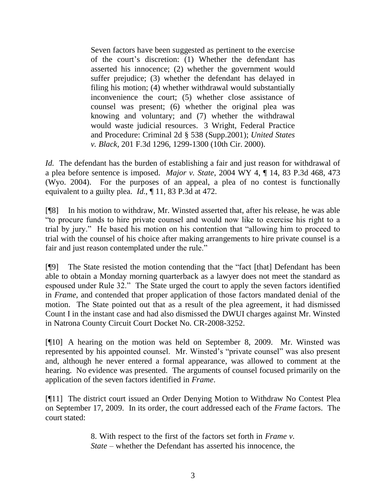Seven factors have been suggested as pertinent to the exercise of the court's discretion: (1) Whether the defendant has asserted his innocence; (2) whether the government would suffer prejudice; (3) whether the defendant has delayed in filing his motion; (4) whether withdrawal would substantially inconvenience the court; (5) whether close assistance of counsel was present; (6) whether the original plea was knowing and voluntary; and (7) whether the withdrawal would waste judicial resources. 3 Wright, Federal Practice and Procedure: Criminal 2d § 538 (Supp.2001); *United States v. Black,* 201 F.3d 1296, 1299-1300 (10th Cir. 2000).

*Id.* The defendant has the burden of establishing a fair and just reason for withdrawal of a plea before sentence is imposed. *Major v. State*, 2004 WY 4, ¶ 14, 83 P.3d 468, 473 (Wyo. 2004). For the purposes of an appeal, a plea of no contest is functionally equivalent to a guilty plea. *Id.*, ¶ 11, 83 P.3d at 472.

[¶8] In his motion to withdraw, Mr. Winsted asserted that, after his release, he was able "to procure funds to hire private counsel and would now like to exercise his right to a trial by jury." He based his motion on his contention that "allowing him to proceed to trial with the counsel of his choice after making arrangements to hire private counsel is a fair and just reason contemplated under the rule."

[¶9] The State resisted the motion contending that the "fact [that] Defendant has been able to obtain a Monday morning quarterback as a lawyer does not meet the standard as espoused under Rule 32." The State urged the court to apply the seven factors identified in *Frame*, and contended that proper application of those factors mandated denial of the motion. The State pointed out that as a result of the plea agreement, it had dismissed Count I in the instant case and had also dismissed the DWUI charges against Mr. Winsted in Natrona County Circuit Court Docket No. CR-2008-3252.

[¶10] A hearing on the motion was held on September 8, 2009. Mr. Winsted was represented by his appointed counsel. Mr. Winsted's "private counsel" was also present and, although he never entered a formal appearance, was allowed to comment at the hearing. No evidence was presented. The arguments of counsel focused primarily on the application of the seven factors identified in *Frame*.

[¶11] The district court issued an Order Denying Motion to Withdraw No Contest Plea on September 17, 2009. In its order, the court addressed each of the *Frame* factors. The court stated:

> 8. With respect to the first of the factors set forth in *Frame v. State* – whether the Defendant has asserted his innocence, the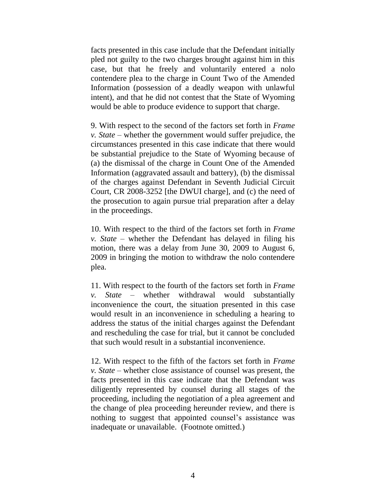facts presented in this case include that the Defendant initially pled not guilty to the two charges brought against him in this case, but that he freely and voluntarily entered a nolo contendere plea to the charge in Count Two of the Amended Information (possession of a deadly weapon with unlawful intent), and that he did not contest that the State of Wyoming would be able to produce evidence to support that charge.

9. With respect to the second of the factors set forth in *Frame v. State* – whether the government would suffer prejudice, the circumstances presented in this case indicate that there would be substantial prejudice to the State of Wyoming because of (a) the dismissal of the charge in Count One of the Amended Information (aggravated assault and battery), (b) the dismissal of the charges against Defendant in Seventh Judicial Circuit Court, CR 2008-3252 [the DWUI charge], and (c) the need of the prosecution to again pursue trial preparation after a delay in the proceedings.

10. With respect to the third of the factors set forth in *Frame v. State* – whether the Defendant has delayed in filing his motion, there was a delay from June 30, 2009 to August 6, 2009 in bringing the motion to withdraw the nolo contendere plea.

11. With respect to the fourth of the factors set forth in *Frame v. State* – whether withdrawal would substantially inconvenience the court, the situation presented in this case would result in an inconvenience in scheduling a hearing to address the status of the initial charges against the Defendant and rescheduling the case for trial, but it cannot be concluded that such would result in a substantial inconvenience.

12. With respect to the fifth of the factors set forth in *Frame v. State* – whether close assistance of counsel was present, the facts presented in this case indicate that the Defendant was diligently represented by counsel during all stages of the proceeding, including the negotiation of a plea agreement and the change of plea proceeding hereunder review, and there is nothing to suggest that appointed counsel's assistance was inadequate or unavailable. (Footnote omitted.)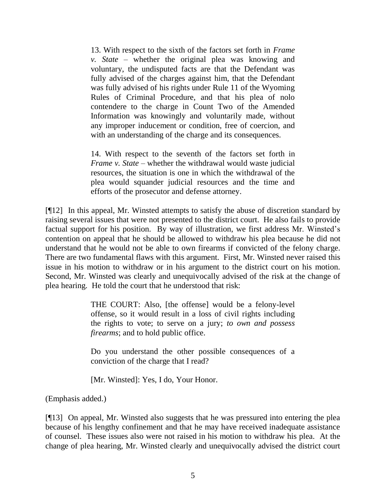13. With respect to the sixth of the factors set forth in *Frame v. State* – whether the original plea was knowing and voluntary, the undisputed facts are that the Defendant was fully advised of the charges against him, that the Defendant was fully advised of his rights under Rule 11 of the Wyoming Rules of Criminal Procedure, and that his plea of nolo contendere to the charge in Count Two of the Amended Information was knowingly and voluntarily made, without any improper inducement or condition, free of coercion, and with an understanding of the charge and its consequences.

14. With respect to the seventh of the factors set forth in *Frame v. State* – whether the withdrawal would waste judicial resources, the situation is one in which the withdrawal of the plea would squander judicial resources and the time and efforts of the prosecutor and defense attorney.

[¶12] In this appeal, Mr. Winsted attempts to satisfy the abuse of discretion standard by raising several issues that were not presented to the district court. He also fails to provide factual support for his position. By way of illustration, we first address Mr. Winsted's contention on appeal that he should be allowed to withdraw his plea because he did not understand that he would not be able to own firearms if convicted of the felony charge. There are two fundamental flaws with this argument. First, Mr. Winsted never raised this issue in his motion to withdraw or in his argument to the district court on his motion. Second, Mr. Winsted was clearly and unequivocally advised of the risk at the change of plea hearing. He told the court that he understood that risk:

> THE COURT: Also, [the offense] would be a felony-level offense, so it would result in a loss of civil rights including the rights to vote; to serve on a jury; *to own and possess firearms*; and to hold public office.

> Do you understand the other possible consequences of a conviction of the charge that I read?

[Mr. Winsted]: Yes, I do, Your Honor.

(Emphasis added.)

[¶13] On appeal, Mr. Winsted also suggests that he was pressured into entering the plea because of his lengthy confinement and that he may have received inadequate assistance of counsel. These issues also were not raised in his motion to withdraw his plea. At the change of plea hearing, Mr. Winsted clearly and unequivocally advised the district court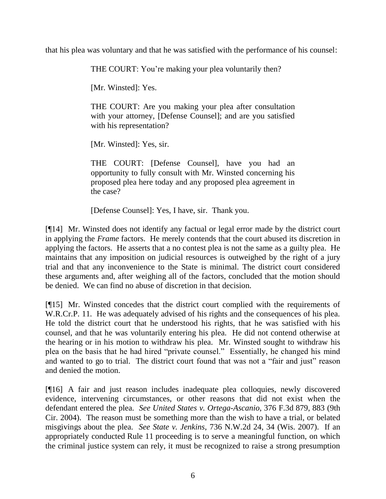that his plea was voluntary and that he was satisfied with the performance of his counsel:

THE COURT: You're making your plea voluntarily then?

[Mr. Winsted]: Yes.

THE COURT: Are you making your plea after consultation with your attorney, [Defense Counsel]; and are you satisfied with his representation?

[Mr. Winsted]: Yes, sir.

THE COURT: [Defense Counsel], have you had an opportunity to fully consult with Mr. Winsted concerning his proposed plea here today and any proposed plea agreement in the case?

[Defense Counsel]: Yes, I have, sir. Thank you.

[¶14] Mr. Winsted does not identify any factual or legal error made by the district court in applying the *Frame* factors. He merely contends that the court abused its discretion in applying the factors. He asserts that a no contest plea is not the same as a guilty plea. He maintains that any imposition on judicial resources is outweighed by the right of a jury trial and that any inconvenience to the State is minimal. The district court considered these arguments and, after weighing all of the factors, concluded that the motion should be denied. We can find no abuse of discretion in that decision.

[¶15] Mr. Winsted concedes that the district court complied with the requirements of W.R.Cr.P. 11. He was adequately advised of his rights and the consequences of his plea. He told the district court that he understood his rights, that he was satisfied with his counsel, and that he was voluntarily entering his plea. He did not contend otherwise at the hearing or in his motion to withdraw his plea. Mr. Winsted sought to withdraw his plea on the basis that he had hired "private counsel." Essentially, he changed his mind and wanted to go to trial. The district court found that was not a "fair and just" reason and denied the motion.

[¶16] A fair and just reason includes inadequate plea colloquies, newly discovered evidence, intervening circumstances, or other reasons that did not exist when the defendant entered the plea. *See United States v. Ortega-Ascanio*, 376 F.3d 879, 883 (9th Cir. 2004). The reason must be something more than the wish to have a trial, or belated misgivings about the plea. *See State v. Jenkins*, 736 N.W.2d 24, 34 (Wis. 2007). If an appropriately conducted Rule 11 proceeding is to serve a meaningful function, on which the criminal justice system can rely, it must be recognized to raise a strong presumption